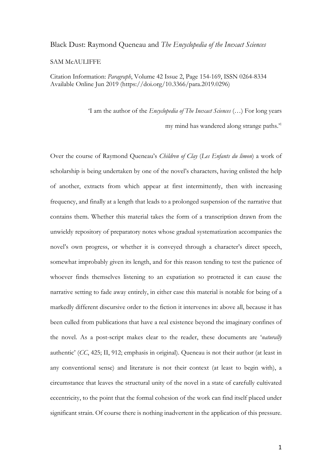## Black Dust: Raymond Queneau and *The Encyclopedia of the Inexact Sciences* SAM McAULIFFE

Citation Information: *Paragraph*, Volume 42 Issue 2, Page 154-169, ISSN 0264-8334 Available Online Jun 2019 (https://doi.org/10.3366/para.2019.0296)

'I am the author of the *Encyclopedia of The Inexact Sciences* (*…*) For long years

my mind has wandered along strange paths.' 1

Over the course of Raymond Queneau's *Children of Clay* (*Les Enfants du limon*) a work of scholarship is being undertaken by one of the novel's characters, having enlisted the help of another, extracts from which appear at first intermittently, then with increasing frequency, and finally at a length that leads to a prolonged suspension of the narrative that contains them. Whether this material takes the form of a transcription drawn from the unwieldy repository of preparatory notes whose gradual systematization accompanies the novel's own progress, or whether it is conveyed through a character's direct speech, somewhat improbably given its length, and for this reason tending to test the patience of whoever finds themselves listening to an expatiation so protracted it can cause the narrative setting to fade away entirely, in either case this material is notable for being of a markedly different discursive order to the fiction it intervenes in: above all, because it has been culled from publications that have a real existence beyond the imaginary confines of the novel. As a post-script makes clear to the reader, these documents are '*naturally* authentic' (*CC*, 425; II, 912; emphasis in original). Queneau is not their author (at least in any conventional sense) and literature is not their context (at least to begin with), a circumstance that leaves the structural unity of the novel in a state of carefully cultivated eccentricity, to the point that the formal cohesion of the work can find itself placed under significant strain. Of course there is nothing inadvertent in the application of this pressure.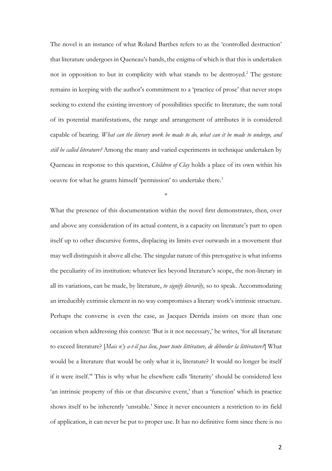The novel is an instance of what Roland Barthes refers to as the 'controlled destruction' that literature undergoes in Queneau's hands, the enigma of which is that this is undertaken not in opposition to but in complicity with what stands to be destroyed.<sup>2</sup> The gesture remains in keeping with the author's commitment to a 'practice of prose' that never stops seeking to extend the existing inventory of possibilities specific to literature, the sum total of its potential manifestations, the range and arrangement of attributes it is considered capable of bearing. *What can the literary work be made to do, what can it be made to undergo, and still be called literature?* Among the many and varied experiments in technique undertaken by Queneau in response to this question, *Children of Clay* holds a place of its own within his oeuvre for what he grants himself 'permission' to undertake there.3

\*

What the presence of this documentation within the novel first demonstrates, then, over and above any consideration of its actual content, is a capacity on literature's part to open itself up to other discursive forms, displacing its limits ever outwards in a movement that may well distinguish it above all else. The singular nature of this prerogative is what informs the peculiarity of its institution: whatever lies beyond literature's scope, the non-literary in all its variations, can be made, by literature, *to signify literarily*, so to speak. Accommodating an irreducibly extrinsic element in no way compromises a literary work's intrinsic structure. Perhaps the converse is even the case, as Jacques Derrida insists on more than one occasion when addressing this context: 'But is it not necessary,' he writes, 'for all literature to exceed literature? [*Mais n'y a-t-il pas lieu, pour toute littérature, de déborder la littérature?*] What would be a literature that would be only what it is, literature? It would no longer be itself if it were itself.' <sup>4</sup> This is why what he elsewhere calls 'literarity' should be considered less 'an intrinsic property of this or that discursive event,' than a 'function' which in practice shows itself to be inherently 'unstable.' Since it never encounters a restriction to its field of application, it can never be put to proper use. It has no definitive form since there is no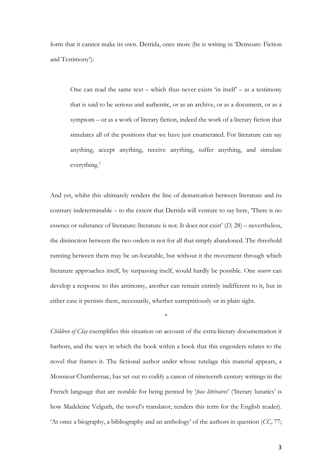form that it cannot make its own. Derrida, once more (he is writing in 'Demeure: Fiction and Testimony'):

One can read the same text – which thus never exists 'in itself' – as a testimony that is said to be serious and authentic, or as an archive, or as a document, or as a symptom – or as a work of literary fiction, indeed the work of a literary fiction that simulates all of the positions that we have just enumerated. For literature can say anything, accept anything, receive anything, suffer anything, and simulate everything. 5

And yet, whilst this ultimately renders the line of demarcation between literature and its contrary indeterminable – to the extent that Derrida will venture to say here, 'There is no essence or substance of literature: literature is not. It does not exist' (*D,* 28) – nevertheless, the distinction between the two orders is not for all that simply abandoned. The threshold running between them may be un-locatable, but without it the movement through which literature approaches itself, by surpassing itself, would hardly be possible. One *oeuvre* can develop a response to this antinomy, another can remain entirely indifferent to it, but in either case it persists there, necessarily, whether surreptitiously or in plain sight.

\*

*Children of Clay* exemplifies this situation on account of the extra-literary documentation it harbors, and the ways in which the book within a book that this engenders relates to the novel that frames it. The fictional author under whose tutelage this material appears, a Monsieur Chambernac, has set out to codify a canon of nineteenth century writings in the French language that are notable for being penned by '*fous littéraires*' ('literary lunatics' is how Madeleine Velguth, the novel's translator, renders this term for the English reader). 'At once a biography, a bibliography and an anthology' of the authors in question (*CC*, 77;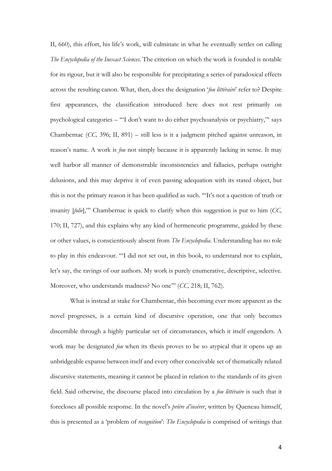II, 660), this effort, his life's work, will culminate in what he eventually settles on calling *The Encyclopedia of the Inexact Sciences*. The criterion on which the work is founded is notable for its rigour, but it will also be responsible for precipitating a series of paradoxical effects across the resulting canon. What, then, does the designation '*fou littéraire*' refer to? Despite first appearances, the classification introduced here does not rest primarily on psychological categories – '"I don't want to do either psychoanalysis or psychiatry,"' says Chambernac (*CC,* 396; II, 891) – still less is it a judgment pitched against unreason, in reason's name. A work is *fou* not simply because it is apparently lacking in sense. It may well harbor all manner of demonstrable inconsistencies and fallacies, perhaps outright delusions, and this may deprive it of even passing adequation with its stated object, but this is not the primary reason it has been qualified as such. '"It's not a question of truth or insanity [*folie*],"' Chambernac is quick to clarify when this suggestion is put to him (*CC,*  170; II, 727), and this explains why any kind of hermeneutic programme, guided by these or other values, is conscientiously absent from *The Encyclopedia*. Understanding has no role to play in this endeavour. '"I did not set out, in this book, to understand nor to explain, let's say, the ravings of our authors. My work is purely enumerative, descriptive, selective. Moreover, who understands madness? No one"' (*CC,* 218; II, 762).

What is instead at stake for Chambernac, this becoming ever more apparent as the novel progresses, is a certain kind of discursive operation, one that only becomes discernible through a highly particular set of circumstances, which it itself engenders. A work may be designated *fou* when its thesis proves to be so atypical that it opens up an unbridgeable expanse between itself and every other conceivable set of thematically related discursive statements, meaning it cannot be placed in relation to the standards of its given field. Said otherwise, the discourse placed into circulation by a *fou littéraire* is such that it forecloses all possible response. In the novel's *prière d'insérer*, written by Queneau himself, this is presented as a 'problem of *recognition*': *The Encyclopedia* is comprised of writings that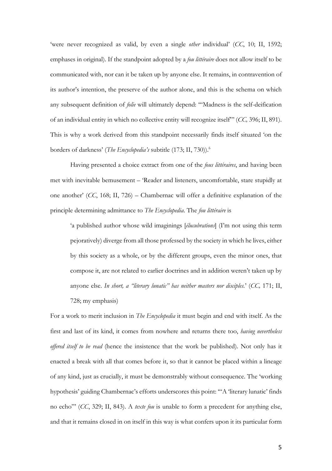'were never recognized as valid, by even a single *other* individual' (*CC*, 10; II, 1592; emphases in original). If the standpoint adopted by a *fou littéraire* does not allow itself to be communicated with, nor can it be taken up by anyone else. It remains, in contravention of its author's intention, the preserve of the author alone, and this is the schema on which any subsequent definition of *folie* will ultimately depend: '"Madness is the self-deification of an individual entity in which no collective entity will recognize itself"' (*CC,* 396; II, 891). This is why a work derived from this standpoint necessarily finds itself situated 'on the borders of darkness' (*The Encyclopedia's* subtitle (173; II, 730)).6

Having presented a choice extract from one of the *fous littéraires*, and having been met with inevitable bemusement – 'Reader and listeners, uncomfortable, stare stupidly at one another' (*CC*, 168; II, 726) – Chambernac will offer a definitive explanation of the principle determining admittance to *The Encyclopedia*. The *fou littéraire* is

'a published author whose wild imaginings [*élucubrations*] (I'm not using this term pejoratively) diverge from all those professed by the society in which he lives, either by this society as a whole, or by the different groups, even the minor ones, that compose it, are not related to earlier doctrines and in addition weren't taken up by anyone else. *In short, a "literary lunatic" has neither masters nor disciples.*' (*CC,* 171; II, 728; my emphasis)

For a work to merit inclusion in *The Encyclopedia* it must begin and end with itself. As the first and last of its kind, it comes from nowhere and returns there too, *having nevertheless offered itself to be read* (hence the insistence that the work be published). Not only has it enacted a break with all that comes before it, so that it cannot be placed within a lineage of any kind, just as crucially, it must be demonstrably without consequence. The 'working hypothesis' guiding Chambernac's efforts underscores this point: '"A 'literary lunatic' finds no echo"' (*CC*, 329; II, 843). A *texte fou* is unable to form a precedent for anything else, and that it remains closed in on itself in this way is what confers upon it its particular form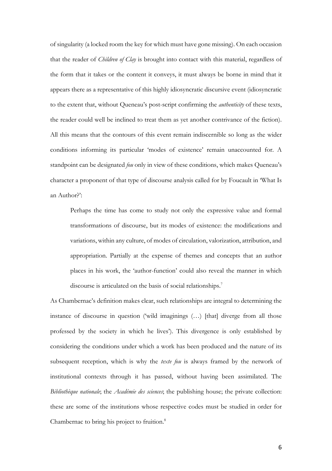of singularity (a locked room the key for which must have gone missing). On each occasion that the reader of *Children of Clay* is brought into contact with this material, regardless of the form that it takes or the content it conveys, it must always be borne in mind that it appears there as a representative of this highly idiosyncratic discursive event (idiosyncratic to the extent that, without Queneau's post-script confirming the *authenticity* of these texts, the reader could well be inclined to treat them as yet another contrivance of the fiction). All this means that the contours of this event remain indiscernible so long as the wider conditions informing its particular 'modes of existence' remain unaccounted for. A standpoint can be designated *fou* only in view of these conditions, which makes Queneau's character a proponent of that type of discourse analysis called for by Foucault in 'What Is an Author?':

Perhaps the time has come to study not only the expressive value and formal transformations of discourse, but its modes of existence: the modifications and variations, within any culture, of modes of circulation, valorization, attribution, and appropriation. Partially at the expense of themes and concepts that an author places in his work, the 'author-function' could also reveal the manner in which discourse is articulated on the basis of social relationships. 7

As Chambernac's definition makes clear, such relationships are integral to determining the instance of discourse in question ('wild imaginings (…) [that] diverge from all those professed by the society in which he lives'). This divergence is only established by considering the conditions under which a work has been produced and the nature of its subsequent reception, which is why the *texte fou* is always framed by the network of institutional contexts through it has passed, without having been assimilated. The *Bibliothèque nationale*; the *Académie des sciences*; the publishing house; the private collection: these are some of the institutions whose respective codes must be studied in order for Chambernac to bring his project to fruition.<sup>8</sup>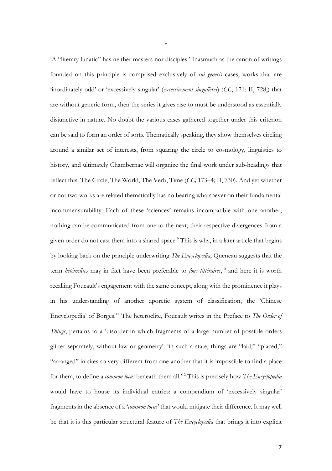'A "literary lunatic" has neither masters nor disciples.' Inasmuch as the canon of writings founded on this principle is comprised exclusively of *sui generis* cases, works that are 'inordinately odd' or 'excessively singular' (*excessivement singulières*) (*CC*, 171; II, 728,) that are without generic form, then the series it gives rise to must be understood as essentially disjunctive in nature. No doubt the various cases gathered together under this criterion can be said to form an order of sorts. Thematically speaking, they show themselves circling around a similar set of interests, from squaring the circle to cosmology, linguistics to history, and ultimately Chambernac will organize the final work under sub-headings that reflect this: The Circle, The World, The Verb, Time (*CC,* 173–4; II, 730). And yet whether or not two works are related thematically has no bearing whatsoever on their fundamental incommensurability. Each of these 'sciences' remains incompatible with one another, nothing can be communicated from one to the next, their respective divergences from a given order do not cast them into a shared space.<sup>9</sup> This is why, in a later article that begins by looking back on the principle underwriting *The Encyclopedia*, Queneau suggests that the term *hétéroclites* may in fact have been preferable to *fous littéraires*, <sup>10</sup> and here it is worth recalling Foucault's engagement with the same concept, along with the prominence it plays in his understanding of another aporetic system of classification, the 'Chinese Encyclopedia' of Borges.<sup>11</sup> The heteroclite, Foucault writes in the Preface to *The Order of Things*, pertains to a 'disorder in which fragments of a large number of possible orders glitter separately, without law or geometry': 'in such a state, things are "laid," "placed," "arranged" in sites so very different from one another that it is impossible to find a place for them, to define a *common locus* beneath them all.' <sup>12</sup> This is precisely how *The Encyclopedia*  would have to house its individual entries: a compendium of 'excessively singular' fragments in the absence of a '*common locus*' that would mitigate their difference. It may well be that it is this particular structural feature of *The Encyclopedia* that brings it into explicit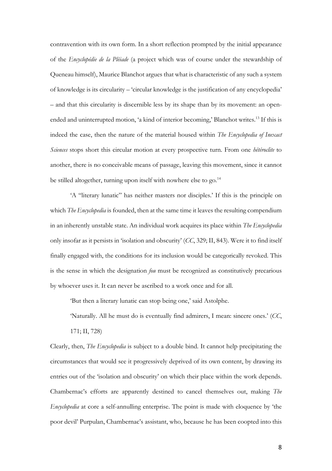contravention with its own form. In a short reflection prompted by the initial appearance of the *Encyclopédie de la Pléiade* (a project which was of course under the stewardship of Queneau himself), Maurice Blanchot argues that what is characteristic of any such a system of knowledge is its circularity – 'circular knowledge is the justification of any encyclopedia' – and that this circularity is discernible less by its shape than by its movement: an openended and uninterrupted motion, 'a kind of interior becoming,' Blanchot writes.<sup>13</sup> If this is indeed the case, then the nature of the material housed within *The Encyclopedia of Inexact Sciences* stops short this circular motion at every prospective turn. From one *hétéroclite* to another, there is no conceivable means of passage, leaving this movement, since it cannot be stilled altogether, turning upon itself with nowhere else to go. $^{14}$ 

'A "literary lunatic" has neither masters nor disciples.' If this is the principle on which *The Encyclopedia* is founded, then at the same time it leaves the resulting compendium in an inherently unstable state. An individual work acquires its place within *The Encyclopedia* only insofar as it persists in 'isolation and obscurity' (*CC*, 329; II, 843). Were it to find itself finally engaged with, the conditions for its inclusion would be categorically revoked. This is the sense in which the designation *fou* must be recognized as constitutively precarious by whoever uses it. It can never be ascribed to a work once and for all.

'But then a literary lunatic can stop being one,' said Astolphe.

'Naturally. All he must do is eventually find admirers, I mean: sincere ones.' (*CC*,

171; II, 728)

Clearly, then, *The Encyclopedia* is subject to a double bind. It cannot help precipitating the circumstances that would see it progressively deprived of its own content, by drawing its entries out of the 'isolation and obscurity' on which their place within the work depends. Chambernac's efforts are apparently destined to cancel themselves out, making *The Encyclopedia* at core a self-annulling enterprise. The point is made with eloquence by 'the poor devil' Purpulan, Chambernac's assistant, who, because he has been coopted into this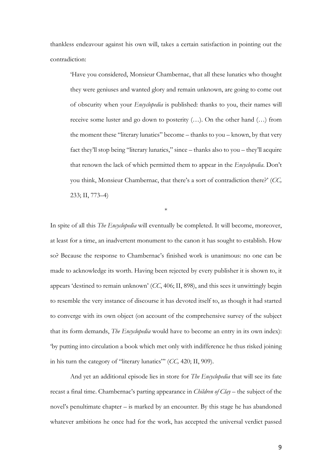thankless endeavour against his own will, takes a certain satisfaction in pointing out the contradiction:

'Have you considered, Monsieur Chambernac, that all these lunatics who thought they were geniuses and wanted glory and remain unknown, are going to come out of obscurity when your *Encyclopedia* is published: thanks to you, their names will receive some luster and go down to posterity (…). On the other hand (…) from the moment these "literary lunatics" become – thanks to you – known, by that very fact they'll stop being "literary lunatics," since – thanks also to you – they'll acquire that renown the lack of which permitted them to appear in the *Encyclopedia*. Don't you think, Monsieur Chambernac, that there's a sort of contradiction there?' (*CC,*  233; II, 773–4)

\*

In spite of all this *The Encyclopedia* will eventually be completed. It will become, moreover, at least for a time, an inadvertent monument to the canon it has sought to establish. How so? Because the response to Chambernac's finished work is unanimous: no one can be made to acknowledge its worth. Having been rejected by every publisher it is shown to, it appears 'destined to remain unknown' (*CC*, 406; II, 898), and this sees it unwittingly begin to resemble the very instance of discourse it has devoted itself to, as though it had started to converge with its own object (on account of the comprehensive survey of the subject that its form demands, *The Encyclopedia* would have to become an entry in its own index): 'by putting into circulation a book which met only with indifference he thus risked joining in his turn the category of "literary lunatics"' (*CC,* 420; II, 909).

And yet an additional episode lies in store for *The Encyclopedia* that will see its fate recast a final time. Chambernac's parting appearance in *Children of Clay* – the subject of the novel's penultimate chapter – is marked by an encounter. By this stage he has abandoned whatever ambitions he once had for the work, has accepted the universal verdict passed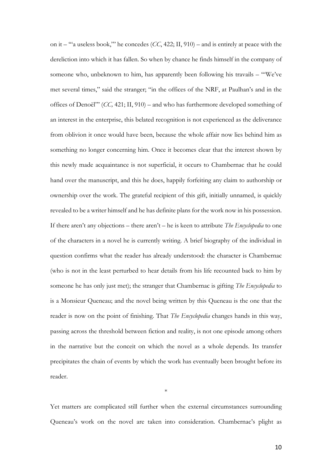on it – '"a useless book,"' he concedes (*CC*, 422; II, 910) – and is entirely at peace with the dereliction into which it has fallen. So when by chance he finds himself in the company of someone who, unbeknown to him, has apparently been following his travails – '"We've met several times," said the stranger; "in the offices of the NRF, at Paulhan's and in the offices of Denoël"' (*CC,* 421; II, 910) – and who has furthermore developed something of an interest in the enterprise, this belated recognition is not experienced as the deliverance from oblivion it once would have been, because the whole affair now lies behind him as something no longer concerning him. Once it becomes clear that the interest shown by this newly made acquaintance is not superficial, it occurs to Chambernac that he could hand over the manuscript, and this he does, happily forfeiting any claim to authorship or ownership over the work. The grateful recipient of this gift, initially unnamed, is quickly revealed to be a writer himself and he has definite plans for the work now in his possession. If there aren't any objections – there aren't – he is keen to attribute *The Encyclopedia* to one of the characters in a novel he is currently writing. A brief biography of the individual in question confirms what the reader has already understood: the character is Chambernac (who is not in the least perturbed to hear details from his life recounted back to him by someone he has only just met); the stranger that Chambernac is gifting *The Encyclopedia* to is a Monsieur Queneau; and the novel being written by this Queneau is the one that the reader is now on the point of finishing. That *The Encyclopedia* changes hands in this way, passing across the threshold between fiction and reality, is not one episode among others in the narrative but the conceit on which the novel as a whole depends. Its transfer precipitates the chain of events by which the work has eventually been brought before its reader.

Yet matters are complicated still further when the external circumstances surrounding Queneau's work on the novel are taken into consideration. Chambernac's plight as

\*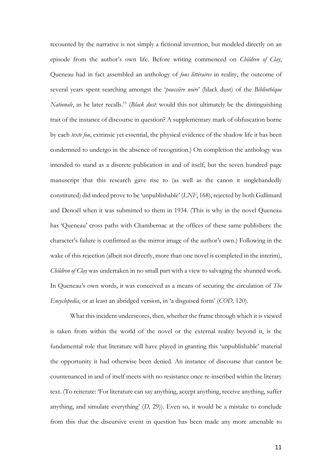recounted by the narrative is not simply a fictional invention, but modeled directly on an episode from the author's own life. Before writing commenced on *Children of Clay*, Queneau had in fact assembled an anthology of *fous littéraires* in reality, the outcome of several years spent searching amongst the '*poussière noire*' (black dust) of the *Bibliothèque Nationale*, as he later recalls.<sup>15</sup> (*Black dust*: would this not ultimately be the distinguishing trait of the instance of discourse in question? A supplementary mark of obfuscation borne by each *texte fou*, extrinsic yet essential, the physical evidence of the shadow life it has been condemned to undergo in the absence of recognition.) On completion the anthology was intended to stand as a discrete publication in and of itself, but the seven hundred page manuscript that this research gave rise to (as well as the canon it singlehandedly constituted) did indeed prove to be 'unpublishable' (*LNF*, 168), rejected by both Gallimard and Denoël when it was submitted to them in 1934. (This is why in the novel Queneau has 'Queneau' cross paths with Chambernac at the offices of these same publishers: the character's failure is confirmed as the mirror image of the author's own.) Following in the wake of this rejection (albeit not directly, more than one novel is completed in the interim), *Children of Clay* was undertaken in no small part with a view to salvaging the shunned work. In Queneau's own words, it was conceived as a means of securing the circulation of *The Encyclopedia*, or at least an abridged version, in 'a disguised form' (*COD,* 120).

What this incident underscores, then, whether the frame through which it is viewed is taken from within the world of the novel or the external reality beyond it, is the fundamental role that literature will have played in granting this 'unpublishable' material the opportunity it had otherwise been denied. An instance of discourse that cannot be countenanced in and of itself meets with no resistance once re-inscribed within the literary text. (To reiterate: 'For literature can say anything, accept anything, receive anything, suffer anything, and simulate everything' (*D,* 29)). Even so, it would be a mistake to conclude from this that the discursive event in question has been made any more amenable to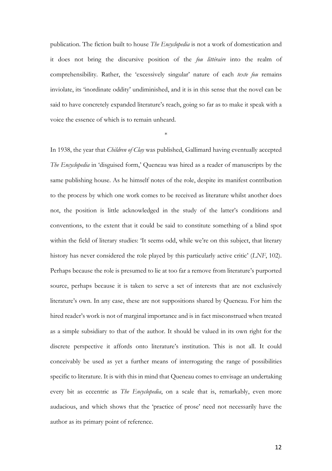publication. The fiction built to house *The Encyclopedia* is not a work of domestication and it does not bring the discursive position of the *fou littéraire* into the realm of comprehensibility. Rather, the 'excessively singular' nature of each *texte fou* remains inviolate, its 'inordinate oddity' undiminished, and it is in this sense that the novel can be said to have concretely expanded literature's reach, going so far as to make it speak with a voice the essence of which is to remain unheard.

\*

In 1938, the year that *Children of Clay* was published, Gallimard having eventually accepted *The Encyclopedia* in 'disguised form,' Queneau was hired as a reader of manuscripts by the same publishing house. As he himself notes of the role, despite its manifest contribution to the process by which one work comes to be received as literature whilst another does not, the position is little acknowledged in the study of the latter's conditions and conventions, to the extent that it could be said to constitute something of a blind spot within the field of literary studies: 'It seems odd, while we're on this subject, that literary history has never considered the role played by this particularly active critic' (*LNF*, 102). Perhaps because the role is presumed to lie at too far a remove from literature's purported source, perhaps because it is taken to serve a set of interests that are not exclusively literature's own. In any case, these are not suppositions shared by Queneau. For him the hired reader's work is not of marginal importance and is in fact misconstrued when treated as a simple subsidiary to that of the author. It should be valued in its own right for the discrete perspective it affords onto literature's institution. This is not all. It could conceivably be used as yet a further means of interrogating the range of possibilities specific to literature. It is with this in mind that Queneau comes to envisage an undertaking every bit as eccentric as *The Encyclopedia*, on a scale that is, remarkably, even more audacious, and which shows that the 'practice of prose' need not necessarily have the author as its primary point of reference.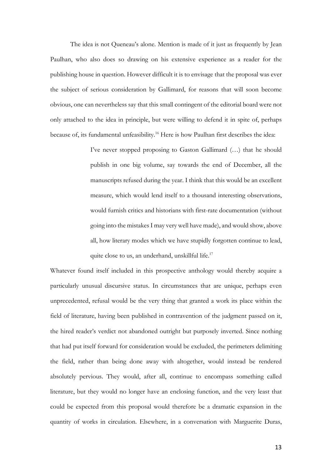The idea is not Queneau's alone. Mention is made of it just as frequently by Jean Paulhan, who also does so drawing on his extensive experience as a reader for the publishing house in question. However difficult it is to envisage that the proposal was ever the subject of serious consideration by Gallimard, for reasons that will soon become obvious, one can nevertheless say that this small contingent of the editorial board were not only attached to the idea in principle, but were willing to defend it in spite of, perhaps because of, its fundamental unfeasibility.<sup>16</sup> Here is how Paulhan first describes the idea:

> I've never stopped proposing to Gaston Gallimard (…) that he should publish in one big volume, say towards the end of December, all the manuscripts refused during the year. I think that this would be an excellent measure, which would lend itself to a thousand interesting observations, would furnish critics and historians with first-rate documentation (without going into the mistakes I may very well have made), and would show, above all, how literary modes which we have stupidly forgotten continue to lead, quite close to us, an underhand, unskillful life.<sup>17</sup>

Whatever found itself included in this prospective anthology would thereby acquire a particularly unusual discursive status. In circumstances that are unique, perhaps even unprecedented, refusal would be the very thing that granted a work its place within the field of literature, having been published in contravention of the judgment passed on it, the hired reader's verdict not abandoned outright but purposely inverted. Since nothing that had put itself forward for consideration would be excluded, the perimeters delimiting the field, rather than being done away with altogether, would instead be rendered absolutely pervious. They would, after all, continue to encompass something called literature, but they would no longer have an enclosing function, and the very least that could be expected from this proposal would therefore be a dramatic expansion in the quantity of works in circulation. Elsewhere, in a conversation with Marguerite Duras,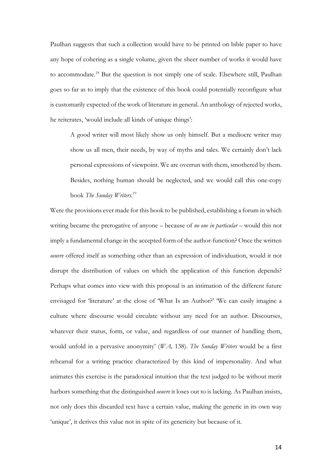Paulhan suggests that such a collection would have to be printed on bible paper to have any hope of cohering as a single volume, given the sheer number of works it would have to accommodate.18 But the question is not simply one of scale. Elsewhere still, Paulhan goes so far as to imply that the existence of this book could potentially reconfigure what is customarily expected of the work of literature in general. An anthology of rejected works, he reiterates, 'would include all kinds of unique things':

A good writer will most likely show us only himself. But a mediocre writer may show us all men, their needs, by way of myths and tales. We certainly don't lack personal expressions of viewpoint. We are overrun with them, smothered by them. Besides, nothing human should be neglected, and we would call this one-copy book *The Sunday Writers.* 19

Were the provisions ever made for this book to be published, establishing a forum in which writing became the prerogative of anyone – because of *no one in particular* – would this not imply a fundamental change in the accepted form of the author-function? Once the written *oeuvre* offered itself as something other than an expression of individuation, would it not disrupt the distribution of values on which the application of this function depends? Perhaps what comes into view with this proposal is an intimation of the different future envisaged for 'literature' at the close of 'What Is an Author?' 'We can easily imagine a culture where discourse would circulate without any need for an author. Discourses, whatever their status, form, or value, and regardless of our manner of handling them, would unfold in a pervasive anonymity' (*WA,* 138). *The Sunday Writers* would be a first rehearsal for a writing practice characterized by this kind of impersonality. And what animates this exercise is the paradoxical intuition that the text judged to be without merit harbors something that the distinguished *oeuvre* it loses out to is lacking. As Paulhan insists, not only does this discarded text have a certain value, making the generic in its own way 'unique', it derives this value not in spite of its genericity but because of it.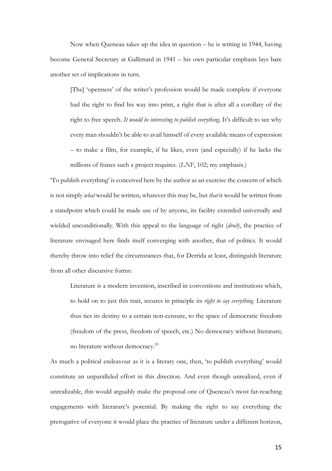Now when Queneau takes up the idea in question – he is writing in 1944, having become General Secretary at Gallimard in 1941 – his own particular emphasis lays bare another set of implications in turn.

[The] 'openness' of the writer's profession would be made complete if everyone had the right to find his way into print, a right that is after all a corollary of the right to free speech. *It would be interesting to publish everything*. It's difficult to see why every man shouldn't be able to avail himself of every available means of expression – to make a film, for example, if he likes, even (and especially) if he lacks the millions of francs such a project requires. (*LNF*, 102; my emphasis.)

'To publish everything' is conceived here by the author as an exercise the concern of which is not simply *what* would be written, whatever this may be, but *that* it would be written from a standpoint which could be made use of by anyone, its facility extended universally and wielded unconditionally. With this appeal to the language of right (*droit*), the practice of literature envisaged here finds itself converging with another, that of politics. It would thereby throw into relief the circumstances that, for Derrida at least, distinguish literature from all other discursive forms:

Literature is a modern invention, inscribed in conventions and institutions which, to hold on to just this trait, secures in principle its *right to say everything*. Literature thus ties its destiny to a certain non-censure, to the space of democratic freedom (freedom of the press, freedom of speech, etc.) No democracy without literature; no literature without democracy.20

As much a political endeavour as it is a literary one, then, 'to publish everything' would constitute an unparalleled effort in this direction. And even though unrealized, even if unrealizable, this would arguably make the proposal one of Queneau's most far-reaching engagements with literature's potential. By making the right to say everything the prerogative of everyone it would place the practice of literature under a different horizon,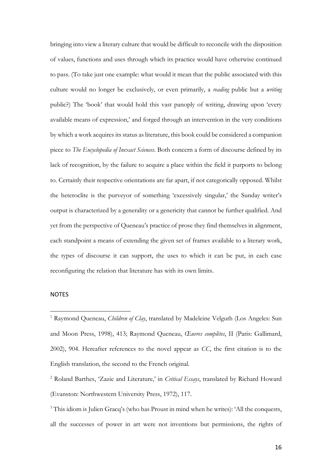bringing into view a literary culture that would be difficult to reconcile with the disposition of values, functions and uses through which its practice would have otherwise continued to pass. (To take just one example: what would it mean that the public associated with this culture would no longer be exclusively, or even primarily, a *reading* public but a *writing* public?) The 'book' that would hold this vast panoply of writing, drawing upon 'every available means of expression,' and forged through an intervention in the very conditions by which a work acquires its status as literature, this book could be considered a companion piece to *The Encyclopedia of Inexact Sciences*. Both concern a form of discourse defined by its lack of recognition, by the failure to acquire a place within the field it purports to belong to. Certainly their respective orientations are far apart, if not categorically opposed. Whilst the heteroclite is the purveyor of something 'excessively singular,' the Sunday writer's output is characterized by a generality or a genericity that cannot be further qualified. And yet from the perspective of Queneau's practice of prose they find themselves in alignment, each standpoint a means of extending the given set of frames available to a literary work, the types of discourse it can support, the uses to which it can be put, in each case reconfiguring the relation that literature has with its own limits.

## NOTES

 $\overline{a}$ 

<sup>1</sup> Raymond Queneau, *Children of Clay*, translated by Madeleine Velguth (Los Angeles: Sun and Moon Press, 1998), 413; Raymond Queneau, *Œuvres complètes*, II (Paris: Gallimard, 2002), 904. Hereafter references to the novel appear as *CC*, the first citation is to the English translation, the second to the French original.

<sup>2</sup> Roland Barthes, 'Zazie and Literature,' in *Critical Essays*, translated by Richard Howard (Evanston: Northwestern University Press, 1972), 117.

<sup>&</sup>lt;sup>3</sup> This idiom is Julien Gracq's (who has Proust in mind when he writes): 'All the conquests, all the successes of power in art were not inventions but permissions, the rights of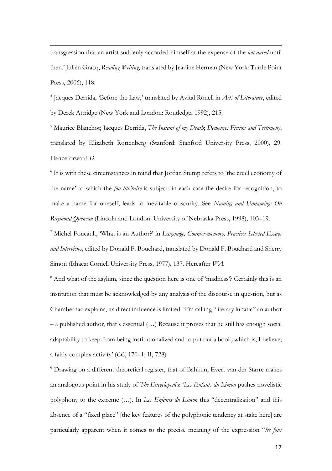transgression that an artist suddenly accorded himself at the expense of the *not-dared* until then.' Julien Gracq, *Reading Writing*, translated by Jeanine Herman (New York: Turtle Point Press, 2006), 118.

 $\overline{a}$ 

<sup>4</sup> Jacques Derrida, 'Before the Law,' translated by Avital Ronell in *Acts of Literature*, edited by Derek Attridge (New York and London: Routledge, 1992), 215.

<sup>5</sup> Maurice Blanchot; Jacques Derrida, *The Instant of my Death*; *Demeure: Fiction and Testimony*, translated by Elizabeth Rottenberg (Stanford: Stanford University Press, 2000), 29. Henceforward *D.*

<sup>6</sup> It is with these circumstances in mind that Jordan Stump refers to 'the cruel economy of the name' to which the *fou littéraire* is subject: in each case the desire for recognition, to make a name for oneself, leads to inevitable obscurity. See *Naming and Unnaming: On Raymond Queneau* (Lincoln and London: University of Nebraska Press, 1998), 103–19.

<sup>7</sup> Michel Foucault, 'What is an Author?' in *Language, Counter-memory, Practice: Selected Essays and Interviews*, edited by Donald F. Bouchard, translated by Donald F. Bouchard and Sherry Simon (Ithaca: Cornell University Press, 1977), 137. Hereafter *WA.*

<sup>8</sup> And what of the asylum, since the question here is one of 'madness'? Certainly this is an institution that must be acknowledged by any analysis of the discourse in question, but as Chambernac explains, its direct influence is limited: 'I'm calling "literary lunatic" an author – a published author, that's essential (…) Because it proves that he still has enough social adaptability to keep from being institutionalized and to put out a book, which is, I believe, a fairly complex activity' (*CC*, 170–1; II, 728).

<sup>9</sup> Drawing on a different theoretical register, that of Bahktin, Evert van der Starre makes an analogous point in his study of *The Encyclopedia*: '*Les Enfants du Limon* pushes novelistic polyphony to the extreme (…). In *Les Enfants du Limon* this "decentralization" and this absence of a "fixed place" [the key features of the polyphonic tendency at stake here] are particularly apparent when it comes to the precise meaning of the expression "*les fous*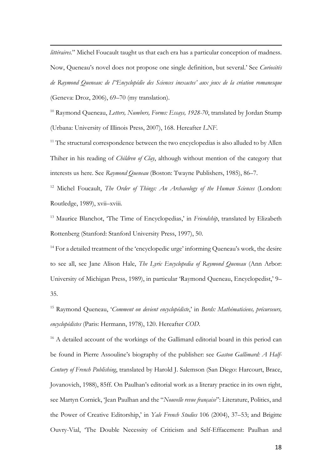*littéraires.*" Michel Foucault taught us that each era has a particular conception of madness. Now, Queneau's novel does not propose one single definition, but several.' See *Curiosités de Raymond Queneau: de l''Encyclopédie des Sciences inexactes' aux jeux de la création romanesque* (Geneva: Droz, 2006), 69–70 (my translation).

 $\overline{a}$ 

<sup>10</sup> Raymond Queneau, *Letters, Numbers, Forms: Essays, 1928-70*, translated by Jordan Stump (Urbana: University of Illinois Press, 2007), 168. Hereafter *LNF*.

<sup>11</sup> The structural correspondence between the two encyclopedias is also alluded to by Allen Thiher in his reading of *Children of Clay*, although without mention of the category that interests us here. See *Raymond Queneau* (Boston: Twayne Publishers, 1985), 86–7.

<sup>12</sup> Michel Foucault, *The Order of Things: An Archaeology of the Human Sciences* (London: Routledge, 1989), xvii–xviii.

<sup>13</sup> Maurice Blanchot, 'The Time of Encyclopedias,' in *Friendship*, translated by Elizabeth Rottenberg (Stanford: Stanford University Press, 1997), 50.

<sup>14</sup> For a detailed treatment of the 'encyclopedic urge' informing Queneau's work, the desire to see all, see Jane Alison Hale, *The Lyric Encyclopedia of Raymond Queneau* (Ann Arbor: University of Michigan Press, 1989), in particular 'Raymond Queneau, Encyclopedist,' 9– 35.

<sup>15</sup> Raymond Queneau, '*Comment on devient encyclopédiste*,' in *Bords: Mathématiciens, précurseurs, encyclopédistes* (Paris: Hermann, 1978), 120. Hereafter *COD*.

<sup>16</sup> A detailed account of the workings of the Gallimard editorial board in this period can be found in Pierre Assouline's biography of the publisher: see *Gaston Gallimard: A Half-Century of French Publishing*, translated by Harold J. Salemson (San Diego: Harcourt, Brace, Jovanovich, 1988), 85ff. On Paulhan's editorial work as a literary practice in its own right, see Martyn Cornick, 'Jean Paulhan and the "*Nouvelle revue française*": Literature, Politics, and the Power of Creative Editorship,' in *Yale French Studies* 106 (2004), 37–53; and Brigitte Ouvry-Vial, 'The Double Necessity of Criticism and Self-Effacement: Paulhan and